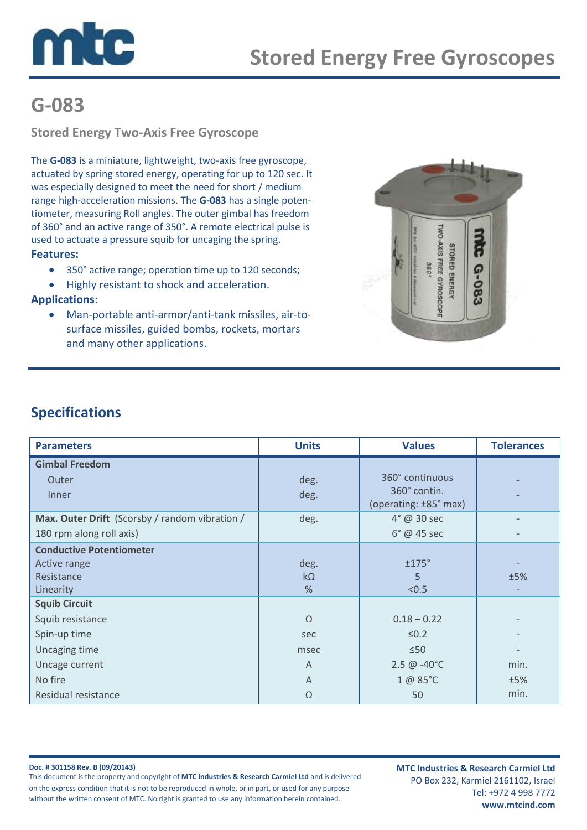

# **G-083**

**Stored Energy Two-Axis Free Gyroscope**

The **G-083** is a miniature, lightweight, two-axis free gyroscope, actuated by spring stored energy, operating for up to 120 sec. It was especially designed to meet the need for short / medium range high-acceleration missions. The **G-083** has a single potentiometer, measuring Roll angles. The outer gimbal has freedom of 360° and an active range of 350°. A remote electrical pulse is used to actuate a pressure squib for uncaging the spring. **Features:** 

- 350° active range; operation time up to 120 seconds;
- Highly resistant to shock and acceleration.

#### **Applications:**

 Man-portable anti-armor/anti-tank missiles, air-tosurface missiles, guided bombs, rockets, mortars and many other applications.



### **Specifications**

| <b>Parameters</b>                              | <b>Units</b>   | <b>Values</b>                         | <b>Tolerances</b> |
|------------------------------------------------|----------------|---------------------------------------|-------------------|
| <b>Gimbal Freedom</b>                          |                |                                       |                   |
| Outer                                          | deg.           | 360° continuous                       |                   |
| Inner                                          | deg.           | 360° contin.<br>(operating: ±85° max) |                   |
| Max. Outer Drift (Scorsby / random vibration / | deg.           | $4^\circ$ @ 30 sec                    |                   |
| 180 rpm along roll axis)                       |                | $6^\circ$ @ 45 sec                    |                   |
| <b>Conductive Potentiometer</b>                |                |                                       |                   |
| Active range                                   | deg.           | ±175°                                 |                   |
| Resistance                                     | $k\Omega$      | 5                                     | ±5%               |
| Linearity                                      | %              | < 0.5                                 |                   |
| <b>Squib Circuit</b>                           |                |                                       |                   |
| Squib resistance                               | $\Omega$       | $0.18 - 0.22$                         |                   |
| Spin-up time                                   | sec            | $\leq 0.2$                            |                   |
| Uncaging time                                  | msec           | $\leq 50$                             |                   |
| Uncage current                                 | $\overline{A}$ | $2.5 \ @ -40^{\circ}C$                | min.              |
| No fire                                        | $\mathsf{A}$   | 1 @ 85°C                              | ±5%               |
| Residual resistance                            | Ω              | 50                                    | min.              |

**Doc. # 301158 Rev. B (09/20143)** This document is the property and copyright of **MTC Industries & Research Carmiel Ltd** and is delivered on the express condition that it is not to be reproduced in whole, or in part, or used for any purpose without the written consent of MTC. No right is granted to use any information herein contained.

**MTC Industries & Research Carmiel Ltd** PO Box 232, Karmiel 2161102, Israel Tel: +972 4 998 7772 **www.mtcind.com**